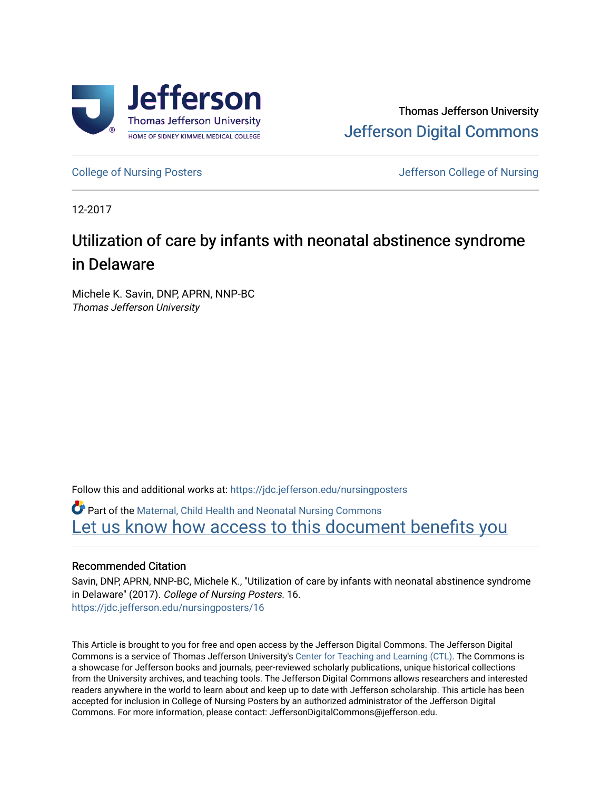

[College of Nursing Posters](https://jdc.jefferson.edu/nursingposters) **College of Nursing Posters** All the Unit of Nursing College of Nursing College of Nursing

12-2017

#### Utilization of care by infants with neonatal abstinence syndrome in Delaware

Michele K. Savin, DNP, APRN, NNP-BC Thomas Jefferson University

Follow this and additional works at: [https://jdc.jefferson.edu/nursingposters](https://jdc.jefferson.edu/nursingposters?utm_source=jdc.jefferson.edu%2Fnursingposters%2F16&utm_medium=PDF&utm_campaign=PDFCoverPages) 

Part of the [Maternal, Child Health and Neonatal Nursing Commons](http://network.bepress.com/hgg/discipline/721?utm_source=jdc.jefferson.edu%2Fnursingposters%2F16&utm_medium=PDF&utm_campaign=PDFCoverPages) 

Let us know how access to this document benefits you

#### Recommended Citation

Savin, DNP, APRN, NNP-BC, Michele K., "Utilization of care by infants with neonatal abstinence syndrome in Delaware" (2017). College of Nursing Posters. 16. [https://jdc.jefferson.edu/nursingposters/16](https://jdc.jefferson.edu/nursingposters/16?utm_source=jdc.jefferson.edu%2Fnursingposters%2F16&utm_medium=PDF&utm_campaign=PDFCoverPages) 

This Article is brought to you for free and open access by the Jefferson Digital Commons. The Jefferson Digital Commons is a service of Thomas Jefferson University's [Center for Teaching and Learning \(CTL\)](http://www.jefferson.edu/university/teaching-learning.html/). The Commons is a showcase for Jefferson books and journals, peer-reviewed scholarly publications, unique historical collections from the University archives, and teaching tools. The Jefferson Digital Commons allows researchers and interested readers anywhere in the world to learn about and keep up to date with Jefferson scholarship. This article has been accepted for inclusion in College of Nursing Posters by an authorized administrator of the Jefferson Digital Commons. For more information, please contact: JeffersonDigitalCommons@jefferson.edu.